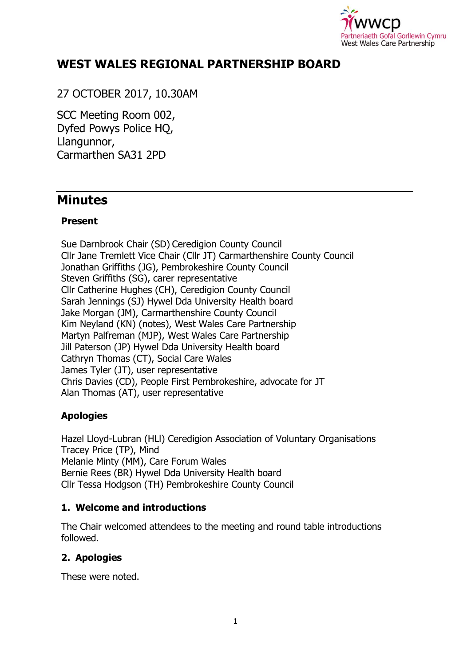

# **WEST WALES REGIONAL PARTNERSHIP BOARD**

27 OCTOBER 2017, 10.30AM

SCC Meeting Room 002, Dyfed Powys Police HQ, Llangunnor, Carmarthen SA31 2PD

# **Minutes**

#### **Present**

Sue Darnbrook Chair (SD) Ceredigion County Council Cllr Jane Tremlett Vice Chair (Cllr JT) Carmarthenshire County Council Jonathan Griffiths (JG), Pembrokeshire County Council Steven Griffiths (SG), carer representative Cllr Catherine Hughes (CH), Ceredigion County Council Sarah Jennings (SJ) Hywel Dda University Health board Jake Morgan (JM), Carmarthenshire County Council Kim Neyland (KN) (notes), West Wales Care Partnership Martyn Palfreman (MJP), West Wales Care Partnership Jill Paterson (JP) Hywel Dda University Health board Cathryn Thomas (CT), Social Care Wales James Tyler (JT), user representative Chris Davies (CD), People First Pembrokeshire, advocate for JT Alan Thomas (AT), user representative

## **Apologies**

Hazel Lloyd-Lubran (HLl) Ceredigion Association of Voluntary Organisations Tracey Price (TP), Mind Melanie Minty (MM), Care Forum Wales Bernie Rees (BR) Hywel Dda University Health board Cllr Tessa Hodgson (TH) Pembrokeshire County Council

#### **1. Welcome and introductions**

The Chair welcomed attendees to the meeting and round table introductions followed.

## **2. Apologies**

These were noted.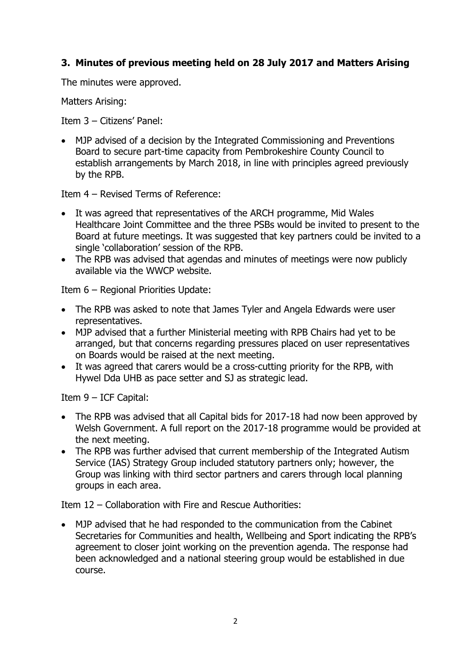## **3. Minutes of previous meeting held on 28 July 2017 and Matters Arising**

The minutes were approved.

Matters Arising:

Item 3 – Citizens' Panel:

 MJP advised of a decision by the Integrated Commissioning and Preventions Board to secure part-time capacity from Pembrokeshire County Council to establish arrangements by March 2018, in line with principles agreed previously by the RPB.

Item 4 – Revised Terms of Reference:

- It was agreed that representatives of the ARCH programme, Mid Wales Healthcare Joint Committee and the three PSBs would be invited to present to the Board at future meetings. It was suggested that key partners could be invited to a single 'collaboration' session of the RPB.
- The RPB was advised that agendas and minutes of meetings were now publicly available via the WWCP website.

Item 6 – Regional Priorities Update:

- The RPB was asked to note that James Tyler and Angela Edwards were user representatives.
- MJP advised that a further Ministerial meeting with RPB Chairs had yet to be arranged, but that concerns regarding pressures placed on user representatives on Boards would be raised at the next meeting.
- It was agreed that carers would be a cross-cutting priority for the RPB, with Hywel Dda UHB as pace setter and SJ as strategic lead.

Item 9 – ICF Capital:

- The RPB was advised that all Capital bids for 2017-18 had now been approved by Welsh Government. A full report on the 2017-18 programme would be provided at the next meeting.
- The RPB was further advised that current membership of the Integrated Autism Service (IAS) Strategy Group included statutory partners only; however, the Group was linking with third sector partners and carers through local planning groups in each area.

Item 12 – Collaboration with Fire and Rescue Authorities:

 MJP advised that he had responded to the communication from the Cabinet Secretaries for Communities and health, Wellbeing and Sport indicating the RPB's agreement to closer joint working on the prevention agenda. The response had been acknowledged and a national steering group would be established in due course.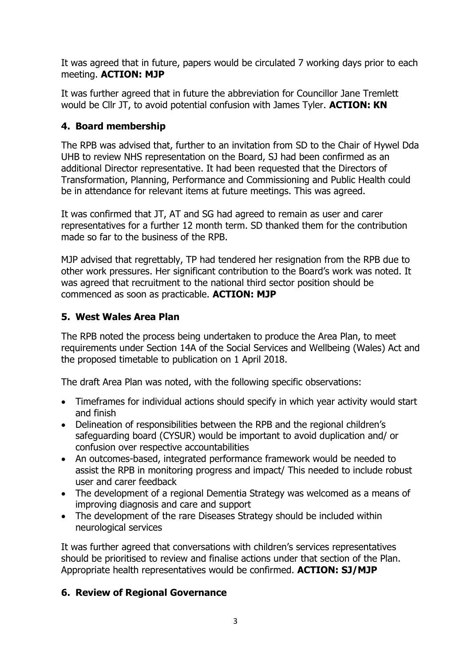It was agreed that in future, papers would be circulated 7 working days prior to each meeting. **ACTION: MJP**

It was further agreed that in future the abbreviation for Councillor Jane Tremlett would be Cllr JT, to avoid potential confusion with James Tyler. **ACTION: KN**

## **4. Board membership**

The RPB was advised that, further to an invitation from SD to the Chair of Hywel Dda UHB to review NHS representation on the Board, SJ had been confirmed as an additional Director representative. It had been requested that the Directors of Transformation, Planning, Performance and Commissioning and Public Health could be in attendance for relevant items at future meetings. This was agreed.

It was confirmed that JT, AT and SG had agreed to remain as user and carer representatives for a further 12 month term. SD thanked them for the contribution made so far to the business of the RPB.

MJP advised that regrettably, TP had tendered her resignation from the RPB due to other work pressures. Her significant contribution to the Board's work was noted. It was agreed that recruitment to the national third sector position should be commenced as soon as practicable. **ACTION: MJP**

#### **5. West Wales Area Plan**

The RPB noted the process being undertaken to produce the Area Plan, to meet requirements under Section 14A of the Social Services and Wellbeing (Wales) Act and the proposed timetable to publication on 1 April 2018.

The draft Area Plan was noted, with the following specific observations:

- Timeframes for individual actions should specify in which year activity would start and finish
- Delineation of responsibilities between the RPB and the regional children's safeguarding board (CYSUR) would be important to avoid duplication and/ or confusion over respective accountabilities
- An outcomes-based, integrated performance framework would be needed to assist the RPB in monitoring progress and impact/ This needed to include robust user and carer feedback
- The development of a regional Dementia Strategy was welcomed as a means of improving diagnosis and care and support
- The development of the rare Diseases Strategy should be included within neurological services

It was further agreed that conversations with children's services representatives should be prioritised to review and finalise actions under that section of the Plan. Appropriate health representatives would be confirmed. **ACTION: SJ/MJP**

## **6. Review of Regional Governance**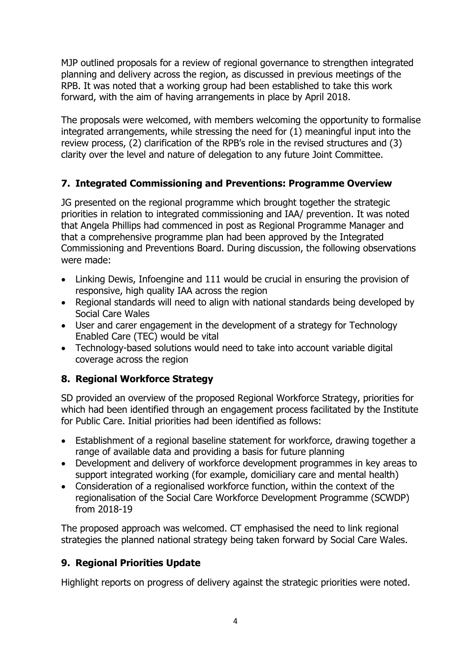MJP outlined proposals for a review of regional governance to strengthen integrated planning and delivery across the region, as discussed in previous meetings of the RPB. It was noted that a working group had been established to take this work forward, with the aim of having arrangements in place by April 2018.

The proposals were welcomed, with members welcoming the opportunity to formalise integrated arrangements, while stressing the need for (1) meaningful input into the review process, (2) clarification of the RPB's role in the revised structures and (3) clarity over the level and nature of delegation to any future Joint Committee.

## **7. Integrated Commissioning and Preventions: Programme Overview**

JG presented on the regional programme which brought together the strategic priorities in relation to integrated commissioning and IAA/ prevention. It was noted that Angela Phillips had commenced in post as Regional Programme Manager and that a comprehensive programme plan had been approved by the Integrated Commissioning and Preventions Board. During discussion, the following observations were made:

- Linking Dewis, Infoengine and 111 would be crucial in ensuring the provision of responsive, high quality IAA across the region
- Regional standards will need to align with national standards being developed by Social Care Wales
- User and carer engagement in the development of a strategy for Technology Enabled Care (TEC) would be vital
- Technology-based solutions would need to take into account variable digital coverage across the region

## **8. Regional Workforce Strategy**

SD provided an overview of the proposed Regional Workforce Strategy, priorities for which had been identified through an engagement process facilitated by the Institute for Public Care. Initial priorities had been identified as follows:

- Establishment of a regional baseline statement for workforce, drawing together a range of available data and providing a basis for future planning
- Development and delivery of workforce development programmes in key areas to support integrated working (for example, domiciliary care and mental health)
- Consideration of a regionalised workforce function, within the context of the regionalisation of the Social Care Workforce Development Programme (SCWDP) from 2018-19

The proposed approach was welcomed. CT emphasised the need to link regional strategies the planned national strategy being taken forward by Social Care Wales.

## **9. Regional Priorities Update**

Highlight reports on progress of delivery against the strategic priorities were noted.